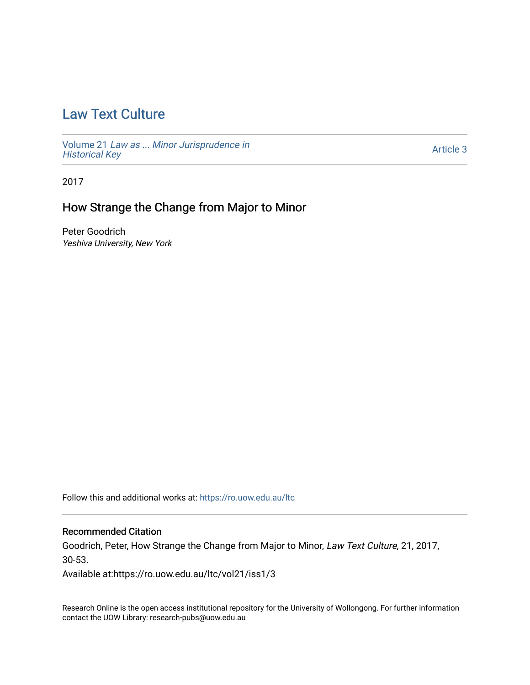# [Law Text Culture](https://ro.uow.edu.au/ltc)

Volume 21 [Law as ... Minor Jurisprudence in](https://ro.uow.edu.au/ltc/vol21) [Historical Key](https://ro.uow.edu.au/ltc/vol21)

[Article 3](https://ro.uow.edu.au/ltc/vol21/iss1/3) 

2017

## How Strange the Change from Major to Minor

Peter Goodrich Yeshiva University, New York

Follow this and additional works at: [https://ro.uow.edu.au/ltc](https://ro.uow.edu.au/ltc?utm_source=ro.uow.edu.au%2Fltc%2Fvol21%2Fiss1%2F3&utm_medium=PDF&utm_campaign=PDFCoverPages) 

#### Recommended Citation

Goodrich, Peter, How Strange the Change from Major to Minor, Law Text Culture, 21, 2017, 30-53.

Available at:https://ro.uow.edu.au/ltc/vol21/iss1/3

Research Online is the open access institutional repository for the University of Wollongong. For further information contact the UOW Library: research-pubs@uow.edu.au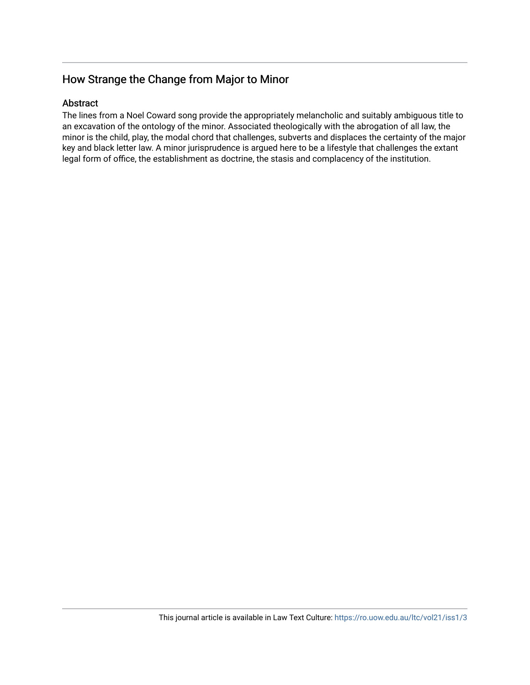### Abstract

The lines from a Noel Coward song provide the appropriately melancholic and suitably ambiguous title to an excavation of the ontology of the minor. Associated theologically with the abrogation of all law, the minor is the child, play, the modal chord that challenges, subverts and displaces the certainty of the major key and black letter law. A minor jurisprudence is argued here to be a lifestyle that challenges the extant legal form of office, the establishment as doctrine, the stasis and complacency of the institution.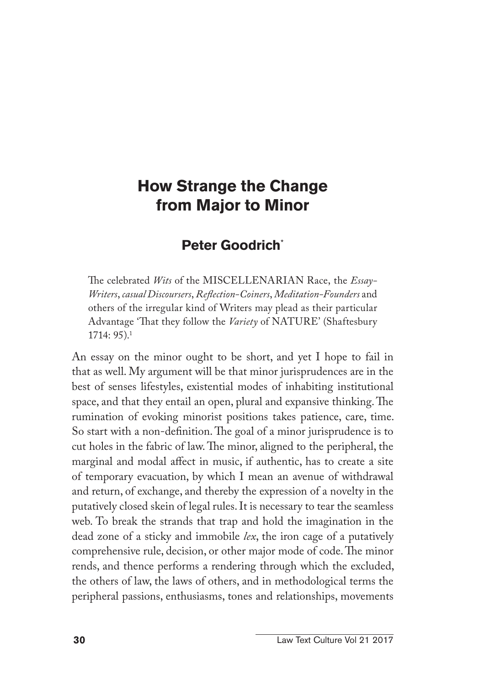### **Peter Goodrich**\*

The celebrated *Wits* of the MISCELLENARIAN Race, the *Essay-Writers*, *casual Discoursers*, *Reflection-Coiners*, *Meditation-Founders* and others of the irregular kind of Writers may plead as their particular Advantage 'That they follow the *Variety* of NATURE' (Shaftesbury 1714: 95).1

An essay on the minor ought to be short, and yet I hope to fail in that as well. My argument will be that minor jurisprudences are in the best of senses lifestyles, existential modes of inhabiting institutional space, and that they entail an open, plural and expansive thinking. The rumination of evoking minorist positions takes patience, care, time. So start with a non-definition. The goal of a minor jurisprudence is to cut holes in the fabric of law. The minor, aligned to the peripheral, the marginal and modal affect in music, if authentic, has to create a site of temporary evacuation, by which I mean an avenue of withdrawal and return, of exchange, and thereby the expression of a novelty in the putatively closed skein of legal rules. It is necessary to tear the seamless web. To break the strands that trap and hold the imagination in the dead zone of a sticky and immobile *lex*, the iron cage of a putatively comprehensive rule, decision, or other major mode of code. The minor rends, and thence performs a rendering through which the excluded, the others of law, the laws of others, and in methodological terms the peripheral passions, enthusiasms, tones and relationships, movements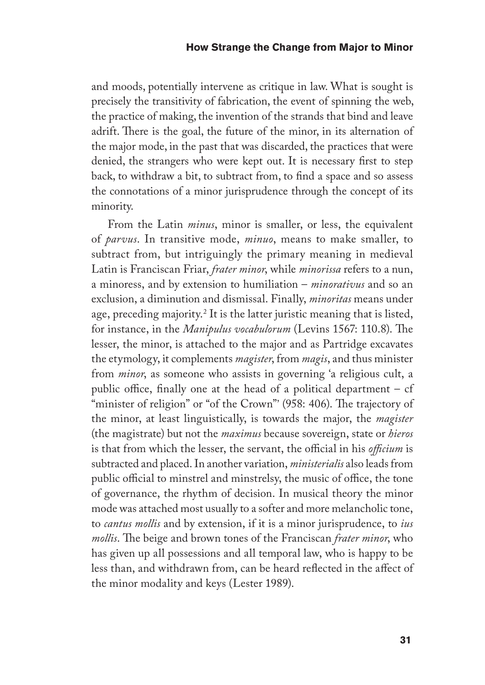and moods, potentially intervene as critique in law. What is sought is precisely the transitivity of fabrication, the event of spinning the web, the practice of making, the invention of the strands that bind and leave adrift. There is the goal, the future of the minor, in its alternation of the major mode, in the past that was discarded, the practices that were denied, the strangers who were kept out. It is necessary first to step back, to withdraw a bit, to subtract from, to find a space and so assess the connotations of a minor jurisprudence through the concept of its minority.

From the Latin *minus*, minor is smaller, or less, the equivalent of *parvus*. In transitive mode, *minuo*, means to make smaller, to subtract from, but intriguingly the primary meaning in medieval Latin is Franciscan Friar, *frater minor*, while *minorissa* refers to a nun, a minoress, and by extension to humiliation – *minorativus* and so an exclusion, a diminution and dismissal. Finally, *minoritas* means under age, preceding majority.2 It is the latter juristic meaning that is listed, for instance, in the *Manipulus vocabulorum* (Levins 1567: 110.8). The lesser, the minor, is attached to the major and as Partridge excavates the etymology, it complements *magister*, from *magis*, and thus minister from *minor*, as someone who assists in governing 'a religious cult, a public office, finally one at the head of a political department  $-$  cf "minister of religion" or "of the Crown"' (958: 406). The trajectory of the minor, at least linguistically, is towards the major, the *magister* (the magistrate) but not the *maximus* because sovereign, state or *hieros* is that from which the lesser, the servant, the official in his *officium* is subtracted and placed. In another variation, *ministerialis* also leads from public official to minstrel and minstrelsy, the music of office, the tone of governance, the rhythm of decision. In musical theory the minor mode was attached most usually to a softer and more melancholic tone, to *cantus mollis* and by extension, if it is a minor jurisprudence, to *ius mollis*. The beige and brown tones of the Franciscan *frater minor*, who has given up all possessions and all temporal law, who is happy to be less than, and withdrawn from, can be heard reflected in the affect of the minor modality and keys (Lester 1989).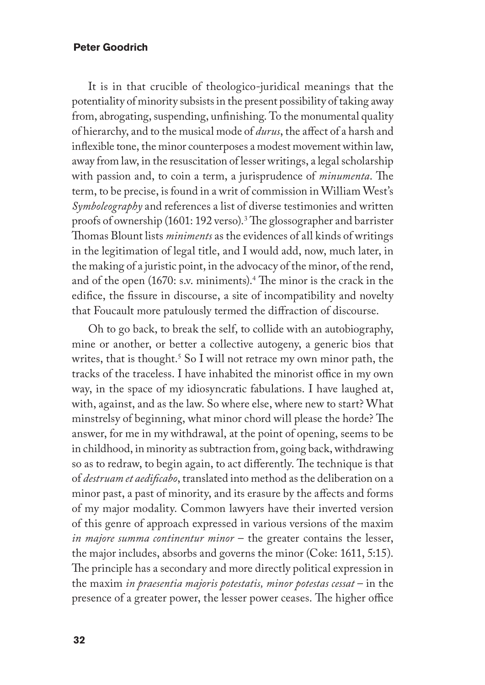It is in that crucible of theologico-juridical meanings that the potentiality of minority subsists in the present possibility of taking away from, abrogating, suspending, unfinishing. To the monumental quality of hierarchy, and to the musical mode of *durus*, the affect of a harsh and inflexible tone, the minor counterposes a modest movement within law, away from law, in the resuscitation of lesser writings, a legal scholarship with passion and, to coin a term, a jurisprudence of *minumenta*. The term, to be precise, is found in a writ of commission in William West's *Symboleography* and references a list of diverse testimonies and written proofs of ownership (1601: 192 verso).<sup>3</sup> The glossographer and barrister Thomas Blount lists *miniments* as the evidences of all kinds of writings in the legitimation of legal title, and I would add, now, much later, in the making of a juristic point, in the advocacy of the minor, of the rend, and of the open (1670: s.v. miniments).<sup>4</sup> The minor is the crack in the edifice, the fissure in discourse, a site of incompatibility and novelty that Foucault more patulously termed the diffraction of discourse.

Oh to go back, to break the self, to collide with an autobiography, mine or another, or better a collective autogeny, a generic bios that writes, that is thought.<sup>5</sup> So I will not retrace my own minor path, the tracks of the traceless. I have inhabited the minorist office in my own way, in the space of my idiosyncratic fabulations. I have laughed at, with, against, and as the law. So where else, where new to start? What minstrelsy of beginning, what minor chord will please the horde? The answer, for me in my withdrawal, at the point of opening, seems to be in childhood, in minority as subtraction from, going back, withdrawing so as to redraw, to begin again, to act differently. The technique is that of *destruam et aedificabo*, translated into method as the deliberation on a minor past, a past of minority, and its erasure by the affects and forms of my major modality. Common lawyers have their inverted version of this genre of approach expressed in various versions of the maxim *in majore summa continentur minor* – the greater contains the lesser, the major includes, absorbs and governs the minor (Coke: 1611, 5:15). The principle has a secondary and more directly political expression in the maxim *in praesentia majoris potestatis, minor potestas cessat* – in the presence of a greater power, the lesser power ceases. The higher office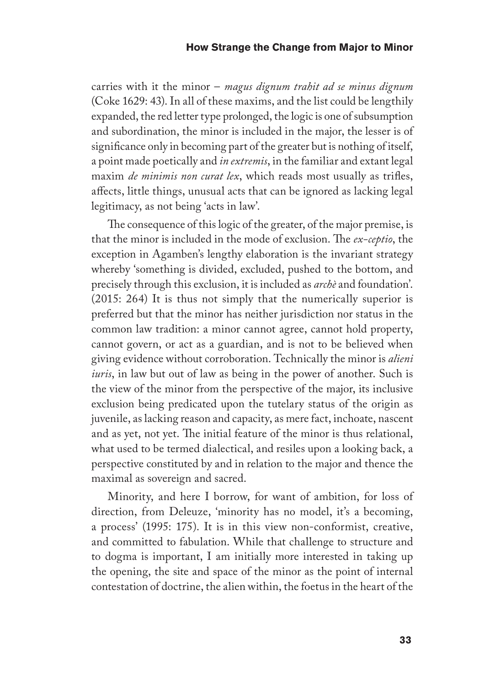carries with it the minor – *magus dignum trahit ad se minus dignum* (Coke 1629: 43). In all of these maxims, and the list could be lengthily expanded, the red letter type prolonged, the logic is one of subsumption and subordination, the minor is included in the major, the lesser is of significance only in becoming part of the greater but is nothing of itself, a point made poetically and *in extremis*, in the familiar and extant legal maxim *de minimis non curat lex*, which reads most usually as trifles, affects, little things, unusual acts that can be ignored as lacking legal legitimacy, as not being 'acts in law'.

The consequence of this logic of the greater, of the major premise, is that the minor is included in the mode of exclusion. The *ex-ceptio*, the exception in Agamben's lengthy elaboration is the invariant strategy whereby 'something is divided, excluded, pushed to the bottom, and precisely through this exclusion, it is included as *archè* and foundation'. (2015: 264) It is thus not simply that the numerically superior is preferred but that the minor has neither jurisdiction nor status in the common law tradition: a minor cannot agree, cannot hold property, cannot govern, or act as a guardian, and is not to be believed when giving evidence without corroboration. Technically the minor is *alieni iuris*, in law but out of law as being in the power of another. Such is the view of the minor from the perspective of the major, its inclusive exclusion being predicated upon the tutelary status of the origin as juvenile, as lacking reason and capacity, as mere fact, inchoate, nascent and as yet, not yet. The initial feature of the minor is thus relational, what used to be termed dialectical, and resiles upon a looking back, a perspective constituted by and in relation to the major and thence the maximal as sovereign and sacred.

Minority, and here I borrow, for want of ambition, for loss of direction, from Deleuze, 'minority has no model, it's a becoming, a process' (1995: 175). It is in this view non-conformist, creative, and committed to fabulation. While that challenge to structure and to dogma is important, I am initially more interested in taking up the opening, the site and space of the minor as the point of internal contestation of doctrine, the alien within, the foetus in the heart of the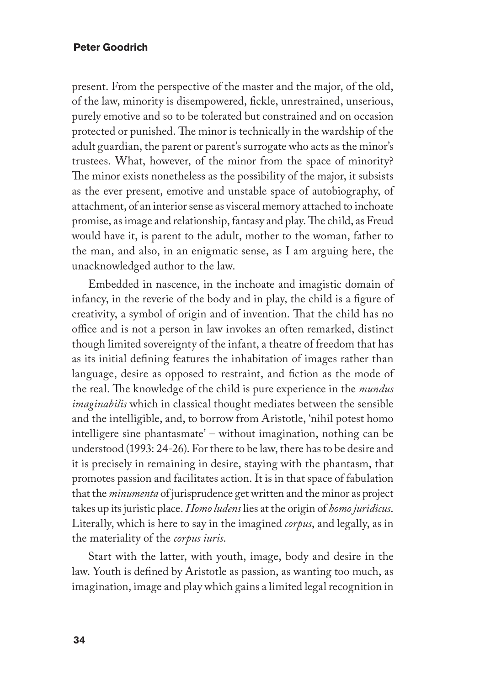present. From the perspective of the master and the major, of the old, of the law, minority is disempowered, fickle, unrestrained, unserious, purely emotive and so to be tolerated but constrained and on occasion protected or punished. The minor is technically in the wardship of the adult guardian, the parent or parent's surrogate who acts as the minor's trustees. What, however, of the minor from the space of minority? The minor exists nonetheless as the possibility of the major, it subsists as the ever present, emotive and unstable space of autobiography, of attachment, of an interior sense as visceral memory attached to inchoate promise, as image and relationship, fantasy and play. The child, as Freud would have it, is parent to the adult, mother to the woman, father to the man, and also, in an enigmatic sense, as I am arguing here, the unacknowledged author to the law.

Embedded in nascence, in the inchoate and imagistic domain of infancy, in the reverie of the body and in play, the child is a figure of creativity, a symbol of origin and of invention. That the child has no office and is not a person in law invokes an often remarked, distinct though limited sovereignty of the infant, a theatre of freedom that has as its initial defining features the inhabitation of images rather than language, desire as opposed to restraint, and fiction as the mode of the real. The knowledge of the child is pure experience in the *mundus imaginabilis* which in classical thought mediates between the sensible and the intelligible, and, to borrow from Aristotle, 'nihil potest homo intelligere sine phantasmate' – without imagination, nothing can be understood (1993: 24-26). For there to be law, there has to be desire and it is precisely in remaining in desire, staying with the phantasm, that promotes passion and facilitates action. It is in that space of fabulation that the *minumenta* of jurisprudence get written and the minor as project takes up its juristic place. *Homo ludens* lies at the origin of *homo juridicus*. Literally, which is here to say in the imagined *corpus*, and legally, as in the materiality of the *corpus iuris*.

Start with the latter, with youth, image, body and desire in the law. Youth is defined by Aristotle as passion, as wanting too much, as imagination, image and play which gains a limited legal recognition in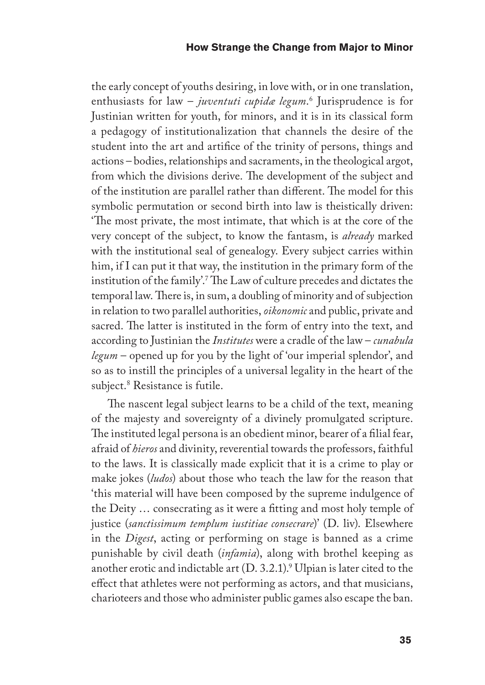the early concept of youths desiring, in love with, or in one translation, enthusiasts for law – *juventuti cupidæ legum*. 6 Jurisprudence is for Justinian written for youth, for minors, and it is in its classical form a pedagogy of institutionalization that channels the desire of the student into the art and artifice of the trinity of persons, things and actions – bodies, relationships and sacraments, in the theological argot, from which the divisions derive. The development of the subject and of the institution are parallel rather than different. The model for this symbolic permutation or second birth into law is theistically driven: 'The most private, the most intimate, that which is at the core of the very concept of the subject, to know the fantasm, is *already* marked with the institutional seal of genealogy. Every subject carries within him, if I can put it that way, the institution in the primary form of the institution of the family'.7 The Law of culture precedes and dictates the temporal law. There is, in sum, a doubling of minority and of subjection in relation to two parallel authorities, *oikonomic* and public, private and sacred. The latter is instituted in the form of entry into the text, and according to Justinian the *Institutes* were a cradle of the law – *cunabula legum* – opened up for you by the light of 'our imperial splendor', and so as to instill the principles of a universal legality in the heart of the subject.8 Resistance is futile.

The nascent legal subject learns to be a child of the text, meaning of the majesty and sovereignty of a divinely promulgated scripture. The instituted legal persona is an obedient minor, bearer of a filial fear, afraid of *hieros* and divinity, reverential towards the professors, faithful to the laws. It is classically made explicit that it is a crime to play or make jokes (*ludos*) about those who teach the law for the reason that 'this material will have been composed by the supreme indulgence of the Deity … consecrating as it were a fitting and most holy temple of justice (*sanctissimum templum iustitiae consecrare*)' (D. liv). Elsewhere in the *Digest*, acting or performing on stage is banned as a crime punishable by civil death (*infamia*), along with brothel keeping as another erotic and indictable art  $(D. 3.2.1).<sup>9</sup>$  Ulpian is later cited to the effect that athletes were not performing as actors, and that musicians, charioteers and those who administer public games also escape the ban.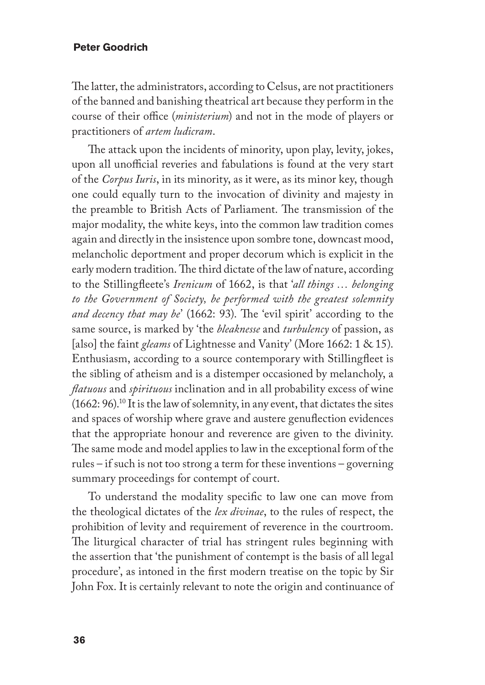The latter, the administrators, according to Celsus, are not practitioners of the banned and banishing theatrical art because they perform in the course of their office (*ministerium*) and not in the mode of players or practitioners of *artem ludicram*.

The attack upon the incidents of minority, upon play, levity, jokes, upon all unofficial reveries and fabulations is found at the very start of the *Corpus Iuris*, in its minority, as it were, as its minor key, though one could equally turn to the invocation of divinity and majesty in the preamble to British Acts of Parliament. The transmission of the major modality, the white keys, into the common law tradition comes again and directly in the insistence upon sombre tone, downcast mood, melancholic deportment and proper decorum which is explicit in the early modern tradition. The third dictate of the law of nature, according to the Stillingfleete's *Irenicum* of 1662, is that '*all things … belonging to the Government of Society, be performed with the greatest solemnity and decency that may be*' (1662: 93). The 'evil spirit' according to the same source, is marked by 'the *bleaknesse* and *turbulency* of passion, as [also] the faint *gleams* of Lightnesse and Vanity' (More 1662: 1 & 15). Enthusiasm, according to a source contemporary with Stillingfleet is the sibling of atheism and is a distemper occasioned by melancholy, a *flatuous* and *spirituous* inclination and in all probability excess of wine (1662: 96).10 It is the law of solemnity, in any event, that dictates the sites and spaces of worship where grave and austere genuflection evidences that the appropriate honour and reverence are given to the divinity. The same mode and model applies to law in the exceptional form of the rules – if such is not too strong a term for these inventions – governing summary proceedings for contempt of court.

To understand the modality specific to law one can move from the theological dictates of the *lex divinae*, to the rules of respect, the prohibition of levity and requirement of reverence in the courtroom. The liturgical character of trial has stringent rules beginning with the assertion that 'the punishment of contempt is the basis of all legal procedure', as intoned in the first modern treatise on the topic by Sir John Fox. It is certainly relevant to note the origin and continuance of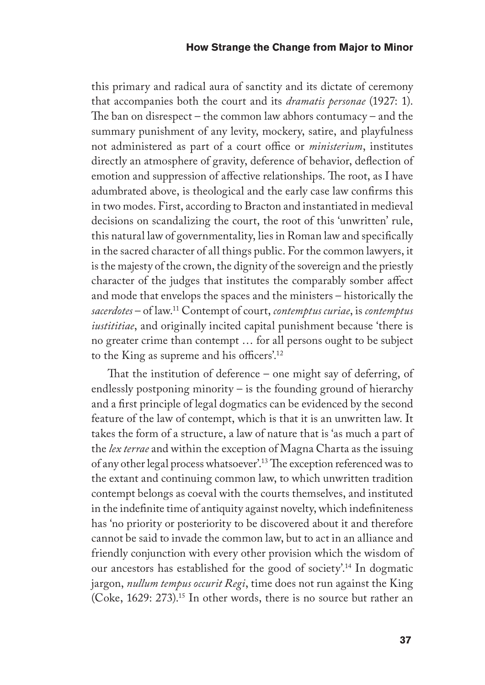this primary and radical aura of sanctity and its dictate of ceremony that accompanies both the court and its *dramatis personae* (1927: 1). The ban on disrespect – the common law abhors contumacy – and the summary punishment of any levity, mockery, satire, and playfulness not administered as part of a court office or *ministerium*, institutes directly an atmosphere of gravity, deference of behavior, deflection of emotion and suppression of affective relationships. The root, as I have adumbrated above, is theological and the early case law confirms this in two modes. First, according to Bracton and instantiated in medieval decisions on scandalizing the court, the root of this 'unwritten' rule, this natural law of governmentality, lies in Roman law and specifically in the sacred character of all things public. For the common lawyers, it is the majesty of the crown, the dignity of the sovereign and the priestly character of the judges that institutes the comparably somber affect and mode that envelops the spaces and the ministers – historically the *sacerdotes* – of law.11 Contempt of court, *contemptus curiae*, is *contemptus iustititiae*, and originally incited capital punishment because 'there is no greater crime than contempt … for all persons ought to be subject to the King as supreme and his officers'.12

That the institution of deference – one might say of deferring, of endlessly postponing minority – is the founding ground of hierarchy and a first principle of legal dogmatics can be evidenced by the second feature of the law of contempt, which is that it is an unwritten law. It takes the form of a structure, a law of nature that is 'as much a part of the *lex terrae* and within the exception of Magna Charta as the issuing of any other legal process whatsoever'.13 The exception referenced was to the extant and continuing common law, to which unwritten tradition contempt belongs as coeval with the courts themselves, and instituted in the indefinite time of antiquity against novelty, which indefiniteness has 'no priority or posteriority to be discovered about it and therefore cannot be said to invade the common law, but to act in an alliance and friendly conjunction with every other provision which the wisdom of our ancestors has established for the good of society'.14 In dogmatic jargon, *nullum tempus occurit Regi*, time does not run against the King (Coke, 1629: 273).15 In other words, there is no source but rather an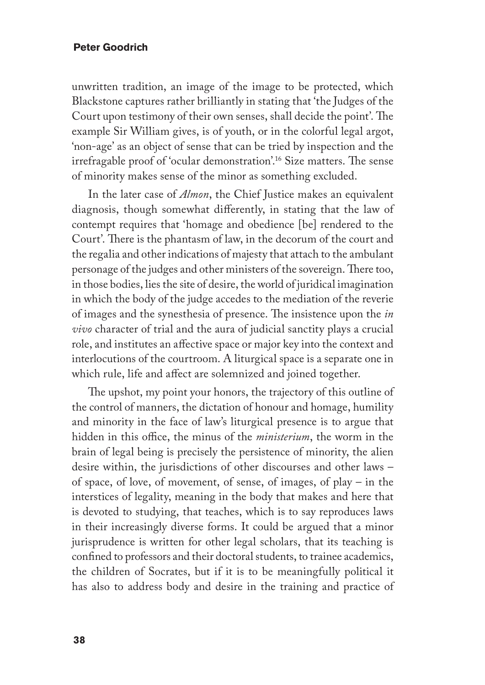unwritten tradition, an image of the image to be protected, which Blackstone captures rather brilliantly in stating that 'the Judges of the Court upon testimony of their own senses, shall decide the point'. The example Sir William gives, is of youth, or in the colorful legal argot, 'non-age' as an object of sense that can be tried by inspection and the irrefragable proof of 'ocular demonstration'.16 Size matters. The sense of minority makes sense of the minor as something excluded.

In the later case of *Almon*, the Chief Justice makes an equivalent diagnosis, though somewhat differently, in stating that the law of contempt requires that 'homage and obedience [be] rendered to the Court'. There is the phantasm of law, in the decorum of the court and the regalia and other indications of majesty that attach to the ambulant personage of the judges and other ministers of the sovereign. There too, in those bodies, lies the site of desire, the world of juridical imagination in which the body of the judge accedes to the mediation of the reverie of images and the synesthesia of presence. The insistence upon the *in vivo* character of trial and the aura of judicial sanctity plays a crucial role, and institutes an affective space or major key into the context and interlocutions of the courtroom. A liturgical space is a separate one in which rule, life and affect are solemnized and joined together.

The upshot, my point your honors, the trajectory of this outline of the control of manners, the dictation of honour and homage, humility and minority in the face of law's liturgical presence is to argue that hidden in this office, the minus of the *ministerium*, the worm in the brain of legal being is precisely the persistence of minority, the alien desire within, the jurisdictions of other discourses and other laws – of space, of love, of movement, of sense, of images, of play – in the interstices of legality, meaning in the body that makes and here that is devoted to studying, that teaches, which is to say reproduces laws in their increasingly diverse forms. It could be argued that a minor jurisprudence is written for other legal scholars, that its teaching is confined to professors and their doctoral students, to trainee academics, the children of Socrates, but if it is to be meaningfully political it has also to address body and desire in the training and practice of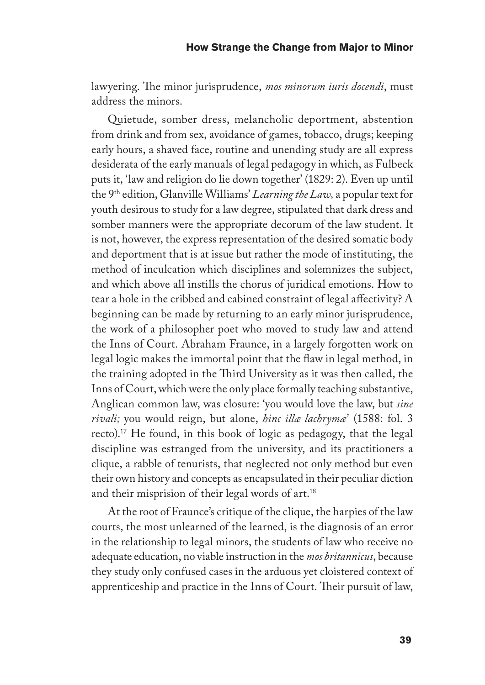lawyering. The minor jurisprudence, *mos minorum iuris docendi*, must address the minors.

Quietude, somber dress, melancholic deportment, abstention from drink and from sex, avoidance of games, tobacco, drugs; keeping early hours, a shaved face, routine and unending study are all express desiderata of the early manuals of legal pedagogy in which, as Fulbeck puts it, 'law and religion do lie down together' (1829: 2). Even up until the 9th edition, Glanville Williams' *Learning the Law,* a popular text for youth desirous to study for a law degree, stipulated that dark dress and somber manners were the appropriate decorum of the law student. It is not, however, the express representation of the desired somatic body and deportment that is at issue but rather the mode of instituting, the method of inculcation which disciplines and solemnizes the subject, and which above all instills the chorus of juridical emotions. How to tear a hole in the cribbed and cabined constraint of legal affectivity? A beginning can be made by returning to an early minor jurisprudence, the work of a philosopher poet who moved to study law and attend the Inns of Court. Abraham Fraunce, in a largely forgotten work on legal logic makes the immortal point that the flaw in legal method, in the training adopted in the Third University as it was then called, the Inns of Court, which were the only place formally teaching substantive, Anglican common law, was closure: 'you would love the law, but *sine rivali;* you would reign, but alone, *hinc illæ lachrymæ*' (1588: fol. 3 recto).17 He found, in this book of logic as pedagogy, that the legal discipline was estranged from the university, and its practitioners a clique, a rabble of tenurists, that neglected not only method but even their own history and concepts as encapsulated in their peculiar diction and their misprision of their legal words of art.<sup>18</sup>

At the root of Fraunce's critique of the clique, the harpies of the law courts, the most unlearned of the learned, is the diagnosis of an error in the relationship to legal minors, the students of law who receive no adequate education, no viable instruction in the *mos britannicus*, because they study only confused cases in the arduous yet cloistered context of apprenticeship and practice in the Inns of Court. Their pursuit of law,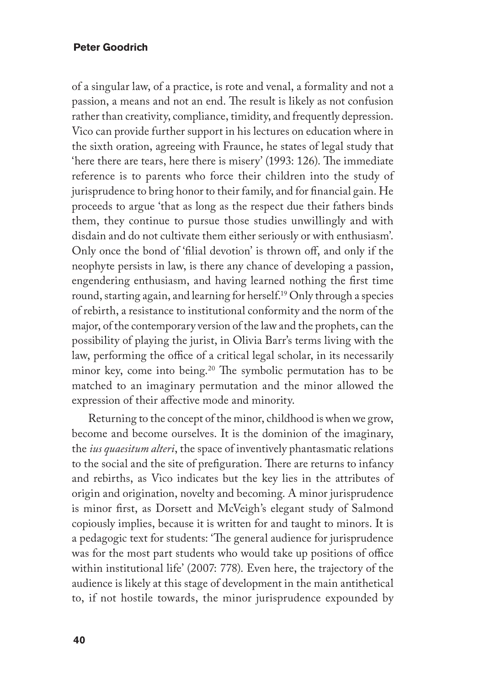of a singular law, of a practice, is rote and venal, a formality and not a passion, a means and not an end. The result is likely as not confusion rather than creativity, compliance, timidity, and frequently depression. Vico can provide further support in his lectures on education where in the sixth oration, agreeing with Fraunce, he states of legal study that 'here there are tears, here there is misery' (1993: 126). The immediate reference is to parents who force their children into the study of jurisprudence to bring honor to their family, and for financial gain. He proceeds to argue 'that as long as the respect due their fathers binds them, they continue to pursue those studies unwillingly and with disdain and do not cultivate them either seriously or with enthusiasm'. Only once the bond of 'filial devotion' is thrown off, and only if the neophyte persists in law, is there any chance of developing a passion, engendering enthusiasm, and having learned nothing the first time round, starting again, and learning for herself.19 Only through a species of rebirth, a resistance to institutional conformity and the norm of the major, of the contemporary version of the law and the prophets, can the possibility of playing the jurist, in Olivia Barr's terms living with the law, performing the office of a critical legal scholar, in its necessarily minor key, come into being.20 The symbolic permutation has to be matched to an imaginary permutation and the minor allowed the expression of their affective mode and minority.

Returning to the concept of the minor, childhood is when we grow, become and become ourselves. It is the dominion of the imaginary, the *ius quaesitum alteri*, the space of inventively phantasmatic relations to the social and the site of prefiguration. There are returns to infancy and rebirths, as Vico indicates but the key lies in the attributes of origin and origination, novelty and becoming. A minor jurisprudence is minor first, as Dorsett and McVeigh's elegant study of Salmond copiously implies, because it is written for and taught to minors. It is a pedagogic text for students: 'The general audience for jurisprudence was for the most part students who would take up positions of office within institutional life' (2007: 778). Even here, the trajectory of the audience is likely at this stage of development in the main antithetical to, if not hostile towards, the minor jurisprudence expounded by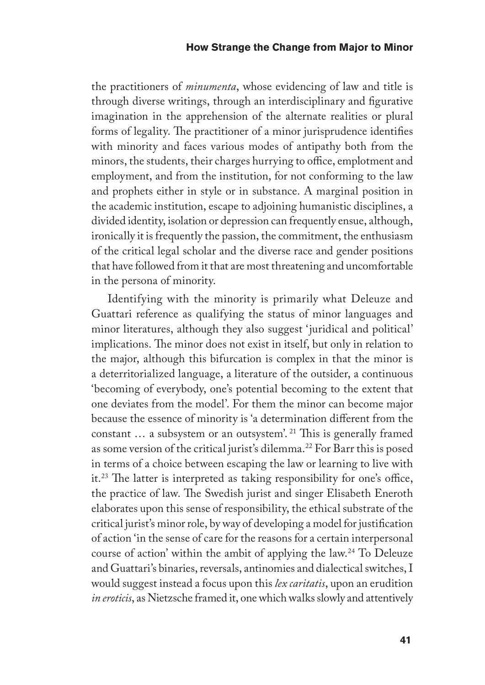the practitioners of *minumenta*, whose evidencing of law and title is through diverse writings, through an interdisciplinary and figurative imagination in the apprehension of the alternate realities or plural forms of legality. The practitioner of a minor jurisprudence identifies with minority and faces various modes of antipathy both from the minors, the students, their charges hurrying to office, emplotment and employment, and from the institution, for not conforming to the law and prophets either in style or in substance. A marginal position in the academic institution, escape to adjoining humanistic disciplines, a divided identity, isolation or depression can frequently ensue, although, ironically it is frequently the passion, the commitment, the enthusiasm of the critical legal scholar and the diverse race and gender positions that have followed from it that are most threatening and uncomfortable in the persona of minority.

Identifying with the minority is primarily what Deleuze and Guattari reference as qualifying the status of minor languages and minor literatures, although they also suggest 'juridical and political' implications. The minor does not exist in itself, but only in relation to the major, although this bifurcation is complex in that the minor is a deterritorialized language, a literature of the outsider, a continuous 'becoming of everybody, one's potential becoming to the extent that one deviates from the model'. For them the minor can become major because the essence of minority is 'a determination different from the constant … a subsystem or an outsystem'. 21 This is generally framed as some version of the critical jurist's dilemma.22 For Barr this is posed in terms of a choice between escaping the law or learning to live with it.23 The latter is interpreted as taking responsibility for one's office, the practice of law. The Swedish jurist and singer Elisabeth Eneroth elaborates upon this sense of responsibility, the ethical substrate of the critical jurist's minor role, by way of developing a model for justification of action 'in the sense of care for the reasons for a certain interpersonal course of action' within the ambit of applying the law.24 To Deleuze and Guattari's binaries, reversals, antinomies and dialectical switches, I would suggest instead a focus upon this *lex caritatis*, upon an erudition *in eroticis*, as Nietzsche framed it, one which walks slowly and attentively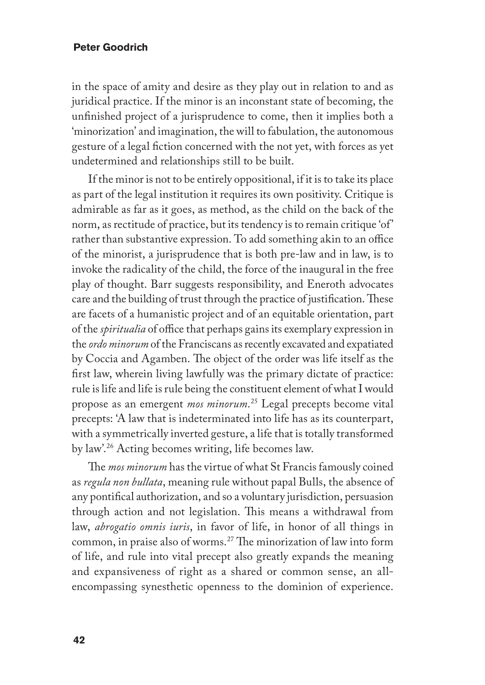in the space of amity and desire as they play out in relation to and as juridical practice. If the minor is an inconstant state of becoming, the unfinished project of a jurisprudence to come, then it implies both a 'minorization' and imagination, the will to fabulation, the autonomous gesture of a legal fiction concerned with the not yet, with forces as yet undetermined and relationships still to be built.

If the minor is not to be entirely oppositional, if it is to take its place as part of the legal institution it requires its own positivity. Critique is admirable as far as it goes, as method, as the child on the back of the norm, as rectitude of practice, but its tendency is to remain critique 'of' rather than substantive expression. To add something akin to an office of the minorist, a jurisprudence that is both pre-law and in law, is to invoke the radicality of the child, the force of the inaugural in the free play of thought. Barr suggests responsibility, and Eneroth advocates care and the building of trust through the practice of justification. These are facets of a humanistic project and of an equitable orientation, part of the *spiritualia* of office that perhaps gains its exemplary expression in the *ordo minorum* of the Franciscans as recently excavated and expatiated by Coccia and Agamben. The object of the order was life itself as the first law, wherein living lawfully was the primary dictate of practice: rule is life and life is rule being the constituent element of what I would propose as an emergent *mos minorum*. 25 Legal precepts become vital precepts: 'A law that is indeterminated into life has as its counterpart, with a symmetrically inverted gesture, a life that is totally transformed by law'.26 Acting becomes writing, life becomes law.

The *mos minorum* has the virtue of what St Francis famously coined as *regula non bullata*, meaning rule without papal Bulls, the absence of any pontifical authorization, and so a voluntary jurisdiction, persuasion through action and not legislation. This means a withdrawal from law, *abrogatio omnis iuris*, in favor of life, in honor of all things in common, in praise also of worms.27 The minorization of law into form of life, and rule into vital precept also greatly expands the meaning and expansiveness of right as a shared or common sense, an allencompassing synesthetic openness to the dominion of experience.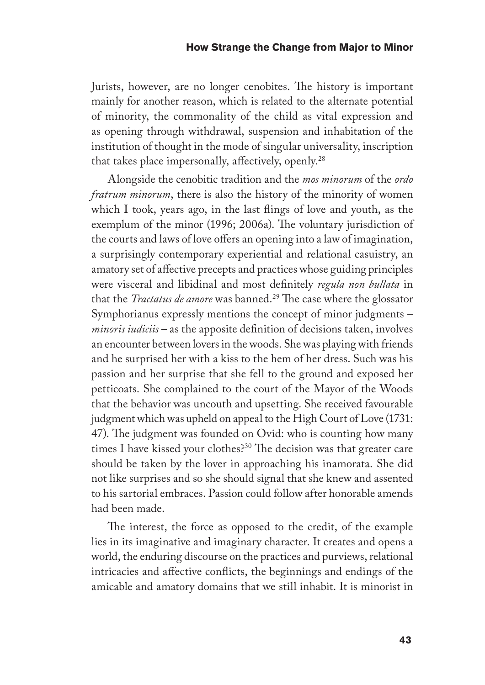Jurists, however, are no longer cenobites. The history is important mainly for another reason, which is related to the alternate potential of minority, the commonality of the child as vital expression and as opening through withdrawal, suspension and inhabitation of the institution of thought in the mode of singular universality, inscription that takes place impersonally, affectively, openly.28

Alongside the cenobitic tradition and the *mos minorum* of the *ordo fratrum minorum*, there is also the history of the minority of women which I took, years ago, in the last flings of love and youth, as the exemplum of the minor (1996; 2006a). The voluntary jurisdiction of the courts and laws of love offers an opening into a law of imagination, a surprisingly contemporary experiential and relational casuistry, an amatory set of affective precepts and practices whose guiding principles were visceral and libidinal and most definitely *regula non bullata* in that the *Tractatus de amore* was banned.<sup>29</sup> The case where the glossator Symphorianus expressly mentions the concept of minor judgments – *minoris iudiciis* – as the apposite definition of decisions taken, involves an encounter between lovers in the woods. She was playing with friends and he surprised her with a kiss to the hem of her dress. Such was his passion and her surprise that she fell to the ground and exposed her petticoats. She complained to the court of the Mayor of the Woods that the behavior was uncouth and upsetting. She received favourable judgment which was upheld on appeal to the High Court of Love (1731: 47). The judgment was founded on Ovid: who is counting how many times I have kissed your clothes?30 The decision was that greater care should be taken by the lover in approaching his inamorata. She did not like surprises and so she should signal that she knew and assented to his sartorial embraces. Passion could follow after honorable amends had been made.

The interest, the force as opposed to the credit, of the example lies in its imaginative and imaginary character. It creates and opens a world, the enduring discourse on the practices and purviews, relational intricacies and affective conflicts, the beginnings and endings of the amicable and amatory domains that we still inhabit. It is minorist in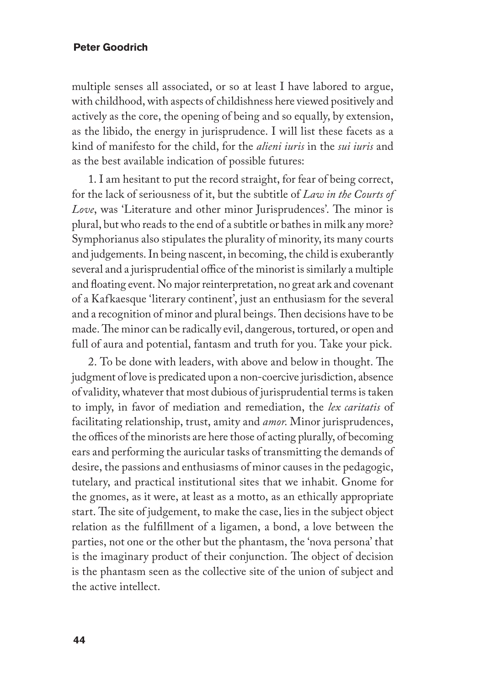multiple senses all associated, or so at least I have labored to argue, with childhood, with aspects of childishness here viewed positively and actively as the core, the opening of being and so equally, by extension, as the libido, the energy in jurisprudence. I will list these facets as a kind of manifesto for the child, for the *alieni iuris* in the *sui iuris* and as the best available indication of possible futures:

1. I am hesitant to put the record straight, for fear of being correct, for the lack of seriousness of it, but the subtitle of *Law in the Courts of Love*, was 'Literature and other minor Jurisprudences'. The minor is plural, but who reads to the end of a subtitle or bathes in milk any more? Symphorianus also stipulates the plurality of minority, its many courts and judgements. In being nascent, in becoming, the child is exuberantly several and a jurisprudential office of the minorist is similarly a multiple and floating event. No major reinterpretation, no great ark and covenant of a Kafkaesque 'literary continent', just an enthusiasm for the several and a recognition of minor and plural beings. Then decisions have to be made. The minor can be radically evil, dangerous, tortured, or open and full of aura and potential, fantasm and truth for you. Take your pick.

2. To be done with leaders, with above and below in thought. The judgment of love is predicated upon a non-coercive jurisdiction, absence of validity, whatever that most dubious of jurisprudential terms is taken to imply, in favor of mediation and remediation, the *lex caritatis* of facilitating relationship, trust, amity and *amor*. Minor jurisprudences, the offices of the minorists are here those of acting plurally, of becoming ears and performing the auricular tasks of transmitting the demands of desire, the passions and enthusiasms of minor causes in the pedagogic, tutelary, and practical institutional sites that we inhabit. Gnome for the gnomes, as it were, at least as a motto, as an ethically appropriate start. The site of judgement, to make the case, lies in the subject object relation as the fulfillment of a ligamen, a bond, a love between the parties, not one or the other but the phantasm, the 'nova persona' that is the imaginary product of their conjunction. The object of decision is the phantasm seen as the collective site of the union of subject and the active intellect.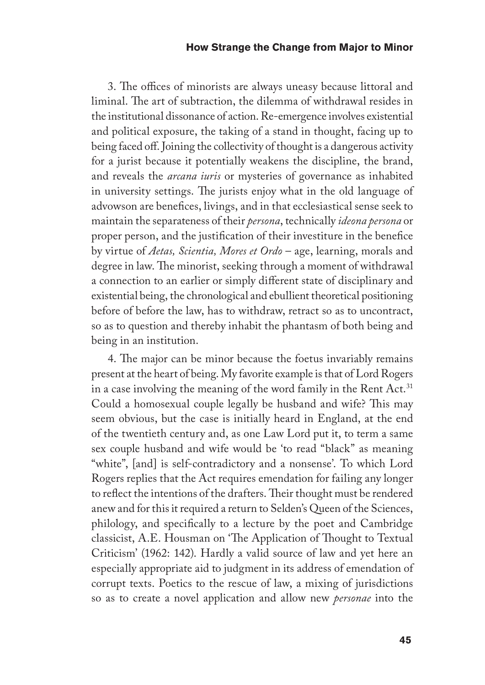3. The offices of minorists are always uneasy because littoral and liminal. The art of subtraction, the dilemma of withdrawal resides in the institutional dissonance of action. Re-emergence involves existential and political exposure, the taking of a stand in thought, facing up to being faced off. Joining the collectivity of thought is a dangerous activity for a jurist because it potentially weakens the discipline, the brand, and reveals the *arcana iuris* or mysteries of governance as inhabited in university settings. The jurists enjoy what in the old language of advowson are benefices, livings, and in that ecclesiastical sense seek to maintain the separateness of their *persona*, technically *ideona persona* or proper person, and the justification of their investiture in the benefice by virtue of *Aetas, Scientia, Mores et Ordo* – age, learning, morals and degree in law. The minorist, seeking through a moment of withdrawal a connection to an earlier or simply different state of disciplinary and existential being, the chronological and ebullient theoretical positioning before of before the law, has to withdraw, retract so as to uncontract, so as to question and thereby inhabit the phantasm of both being and being in an institution.

4. The major can be minor because the foetus invariably remains present at the heart of being. My favorite example is that of Lord Rogers in a case involving the meaning of the word family in the Rent Act.<sup>31</sup> Could a homosexual couple legally be husband and wife? This may seem obvious, but the case is initially heard in England, at the end of the twentieth century and, as one Law Lord put it, to term a same sex couple husband and wife would be 'to read "black" as meaning "white", [and] is self-contradictory and a nonsense'. To which Lord Rogers replies that the Act requires emendation for failing any longer to reflect the intentions of the drafters. Their thought must be rendered anew and for this it required a return to Selden's Queen of the Sciences, philology, and specifically to a lecture by the poet and Cambridge classicist, A.E. Housman on 'The Application of Thought to Textual Criticism' (1962: 142). Hardly a valid source of law and yet here an especially appropriate aid to judgment in its address of emendation of corrupt texts. Poetics to the rescue of law, a mixing of jurisdictions so as to create a novel application and allow new *personae* into the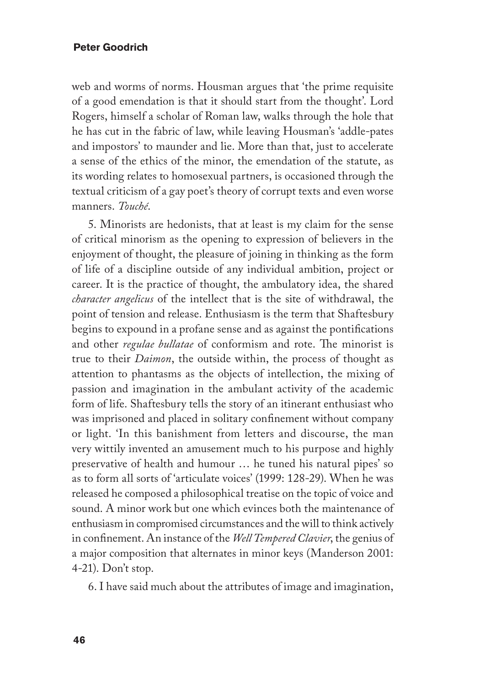web and worms of norms. Housman argues that 'the prime requisite of a good emendation is that it should start from the thought'. Lord Rogers, himself a scholar of Roman law, walks through the hole that he has cut in the fabric of law, while leaving Housman's 'addle-pates and impostors' to maunder and lie. More than that, just to accelerate a sense of the ethics of the minor, the emendation of the statute, as its wording relates to homosexual partners, is occasioned through the textual criticism of a gay poet's theory of corrupt texts and even worse manners. *Touché*.

5. Minorists are hedonists, that at least is my claim for the sense of critical minorism as the opening to expression of believers in the enjoyment of thought, the pleasure of joining in thinking as the form of life of a discipline outside of any individual ambition, project or career. It is the practice of thought, the ambulatory idea, the shared *character angelicus* of the intellect that is the site of withdrawal, the point of tension and release. Enthusiasm is the term that Shaftesbury begins to expound in a profane sense and as against the pontifications and other *regulae bullatae* of conformism and rote. The minorist is true to their *Daimon*, the outside within, the process of thought as attention to phantasms as the objects of intellection, the mixing of passion and imagination in the ambulant activity of the academic form of life. Shaftesbury tells the story of an itinerant enthusiast who was imprisoned and placed in solitary confinement without company or light. 'In this banishment from letters and discourse, the man very wittily invented an amusement much to his purpose and highly preservative of health and humour … he tuned his natural pipes' so as to form all sorts of 'articulate voices' (1999: 128-29). When he was released he composed a philosophical treatise on the topic of voice and sound. A minor work but one which evinces both the maintenance of enthusiasm in compromised circumstances and the will to think actively in confinement. An instance of the *Well Tempered Clavier*, the genius of a major composition that alternates in minor keys (Manderson 2001: 4-21). Don't stop.

6. I have said much about the attributes of image and imagination,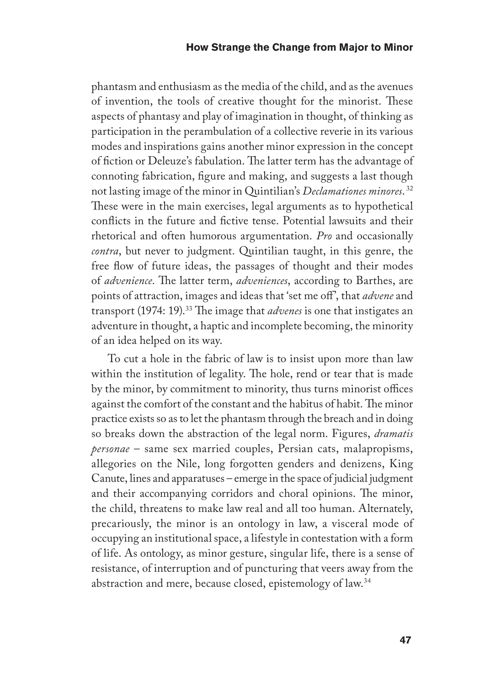phantasm and enthusiasm as the media of the child, and as the avenues of invention, the tools of creative thought for the minorist. These aspects of phantasy and play of imagination in thought, of thinking as participation in the perambulation of a collective reverie in its various modes and inspirations gains another minor expression in the concept of fiction or Deleuze's fabulation. The latter term has the advantage of connoting fabrication, figure and making, and suggests a last though not lasting image of the minor in Quintilian's *Declamationes minores*. 32 These were in the main exercises, legal arguments as to hypothetical conflicts in the future and fictive tense. Potential lawsuits and their rhetorical and often humorous argumentation. *Pro* and occasionally *contra*, but never to judgment. Quintilian taught, in this genre, the free flow of future ideas, the passages of thought and their modes of *advenience*. The latter term, *adveniences*, according to Barthes, are points of attraction, images and ideas that 'set me off', that *advene* and transport (1974: 19).33 The image that *advenes* is one that instigates an adventure in thought, a haptic and incomplete becoming, the minority of an idea helped on its way.

To cut a hole in the fabric of law is to insist upon more than law within the institution of legality. The hole, rend or tear that is made by the minor, by commitment to minority, thus turns minorist offices against the comfort of the constant and the habitus of habit. The minor practice exists so as to let the phantasm through the breach and in doing so breaks down the abstraction of the legal norm. Figures, *dramatis personae* – same sex married couples, Persian cats, malapropisms, allegories on the Nile, long forgotten genders and denizens, King Canute, lines and apparatuses – emerge in the space of judicial judgment and their accompanying corridors and choral opinions. The minor, the child, threatens to make law real and all too human. Alternately, precariously, the minor is an ontology in law, a visceral mode of occupying an institutional space, a lifestyle in contestation with a form of life. As ontology, as minor gesture, singular life, there is a sense of resistance, of interruption and of puncturing that veers away from the abstraction and mere, because closed, epistemology of law.34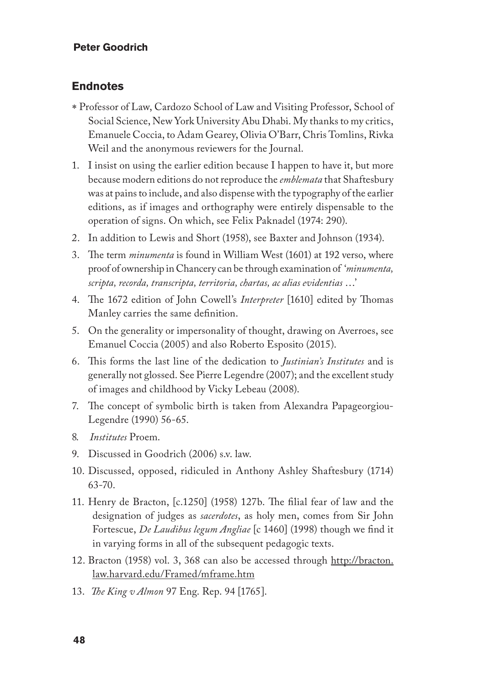#### **Endnotes**

- ∗ Professor of Law, Cardozo School of Law and Visiting Professor, School of Social Science, New York University Abu Dhabi. My thanks to my critics, Emanuele Coccia, to Adam Gearey, Olivia O'Barr, Chris Tomlins, Rivka Weil and the anonymous reviewers for the Journal.
- 1. I insist on using the earlier edition because I happen to have it, but more because modern editions do not reproduce the *emblemata* that Shaftesbury was at pains to include, and also dispense with the typography of the earlier editions, as if images and orthography were entirely dispensable to the operation of signs. On which, see Felix Paknadel (1974: 290).
- 2. In addition to Lewis and Short (1958), see Baxter and Johnson (1934).
- 3. The term *minumenta* is found in William West (1601) at 192 verso, where proof of ownership in Chancery can be through examination of '*minumenta, scripta, recorda, transcripta, territoria, chartas, ac alias evidentias* …'
- 4. The 1672 edition of John Cowell's *Interpreter* [1610] edited by Thomas Manley carries the same definition.
- 5. On the generality or impersonality of thought, drawing on Averroes, see Emanuel Coccia (2005) and also Roberto Esposito (2015).
- 6. This forms the last line of the dedication to *Justinian's Institutes* and is generally not glossed. See Pierre Legendre (2007); and the excellent study of images and childhood by Vicky Lebeau (2008).
- 7. The concept of symbolic birth is taken from Alexandra Papageorgiou-Legendre (1990) 56-65.
- 8. *Institutes* Proem.
- 9. Discussed in Goodrich (2006) s.v. law.
- 10. Discussed, opposed, ridiculed in Anthony Ashley Shaftesbury (1714) 63-70.
- 11. Henry de Bracton, [c.1250] (1958) 127b. The filial fear of law and the designation of judges as *sacerdotes*, as holy men, comes from Sir John Fortescue, *De Laudibus legum Angliae* [c 1460] (1998) though we find it in varying forms in all of the subsequent pedagogic texts.
- 12. Bracton (1958) vol. 3, 368 can also be accessed through http://bracton. law.harvard.edu/Framed/mframe.htm
- 13. *The King v Almon* 97 Eng. Rep. 94 [1765].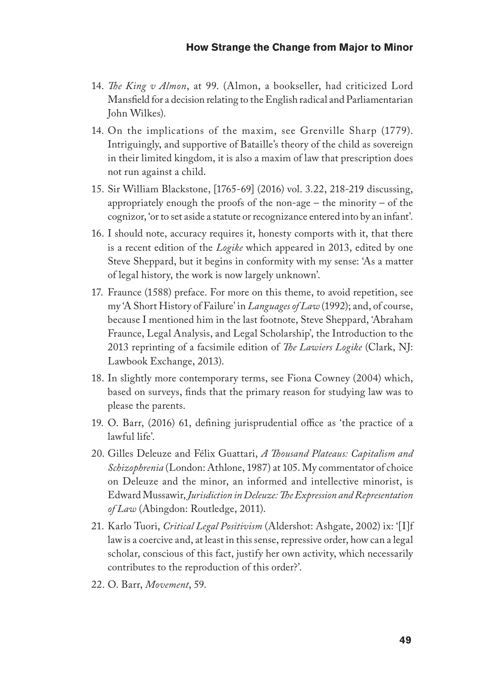- 14. *The King v Almon*, at 99. (Almon, a bookseller, had criticized Lord Mansfield for a decision relating to the English radical and Parliamentarian John Wilkes).
- 14. On the implications of the maxim, see Grenville Sharp (1779). Intriguingly, and supportive of Bataille's theory of the child as sovereign in their limited kingdom, it is also a maxim of law that prescription does not run against a child.
- 15. Sir William Blackstone, [1765-69] (2016) vol. 3.22, 218-219 discussing, appropriately enough the proofs of the non-age – the minority – of the cognizor, 'or to set aside a statute or recognizance entered into by an infant'.
- 16. I should note, accuracy requires it, honesty comports with it, that there is a recent edition of the *Logike* which appeared in 2013, edited by one Steve Sheppard, but it begins in conformity with my sense: 'As a matter of legal history, the work is now largely unknown'.
- 17. Fraunce (1588) preface. For more on this theme, to avoid repetition, see my 'A Short History of Failure' in *Languages of Law* (1992); and, of course, because I mentioned him in the last footnote, Steve Sheppard, 'Abraham Fraunce, Legal Analysis, and Legal Scholarship', the Introduction to the 2013 reprinting of a facsimile edition of *The Lawiers Logike* (Clark, NJ: Lawbook Exchange, 2013).
- 18. In slightly more contemporary terms, see Fiona Cowney (2004) which, based on surveys, finds that the primary reason for studying law was to please the parents.
- 19. O. Barr, (2016) 61, defining jurisprudential office as 'the practice of a lawful life'.
- 20. Gilles Deleuze and Félix Guattari, *A Thousand Plateaus: Capitalism and Schizophrenia* (London: Athlone, 1987) at 105. My commentator of choice on Deleuze and the minor, an informed and intellective minorist, is Edward Mussawir, *Jurisdiction in Deleuze: The Expression and Representation of Law* (Abingdon: Routledge, 2011).
- 21. Karlo Tuori, *Critical Legal Positivism* (Aldershot: Ashgate, 2002) ix: '[I]f law is a coercive and, at least in this sense, repressive order, how can a legal scholar, conscious of this fact, justify her own activity, which necessarily contributes to the reproduction of this order?'.
- 22. O. Barr, *Movement*, 59.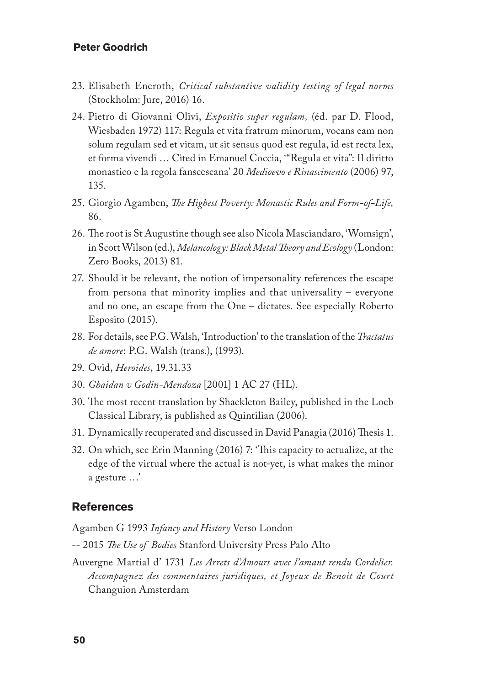- 23. Elisabeth Eneroth, *Critical substantive validity testing of legal norms*  (Stockholm: Jure, 2016) 16.
- 24. Pietro di Giovanni Olivi, *Expositio super regulam,* (éd. par D. Flood, Wiesbaden 1972) 117: Regula et vita fratrum minorum, vocans eam non solum regulam sed et vitam, ut sit sensus quod est regula, id est recta lex, et forma vivendi … Cited in Emanuel Coccia, '"Regula et vita": Il diritto monastico e la regola fanscescana' 20 *Medioevo e Rinascimento* (2006) 97, 135.
- 25. Giorgio Agamben, *The Highest Poverty: Monastic Rules and Form-of-Life,* 86.
- 26. The root is St Augustine though see also Nicola Masciandaro, 'Womsign', in Scott Wilson (ed.), *Melancology: Black Metal Theory and Ecology* (London: Zero Books, 2013) 81.
- 27. Should it be relevant, the notion of impersonality references the escape from persona that minority implies and that universality – everyone and no one, an escape from the One – dictates. See especially Roberto Esposito (2015).
- 28. For details, see P.G. Walsh, 'Introduction' to the translation of the *Tractatus de amore*: P.G. Walsh (trans.), (1993).
- 29. Ovid, *Heroides*, 19.31.33
- 30. *Ghaidan v Godin-Mendoza* [2001] 1 AC 27 (HL).
- 30. The most recent translation by Shackleton Bailey, published in the Loeb Classical Library, is published as Quintilian (2006).
- 31. Dynamically recuperated and discussed in David Panagia (2016) Thesis 1.
- 32. On which, see Erin Manning (2016) 7: 'This capacity to actualize, at the edge of the virtual where the actual is not-yet, is what makes the minor a gesture …'

#### **References**

Agamben G 1993 *Infancy and History* Verso London

- -- 2015 *The Use of Bodies* Stanford University Press Palo Alto
- Auvergne Martial d' 1731 *Les Arrets d'Amours avec l'amant rendu Cordelier. Accompagnez des commentaires juridiques, et Joyeux de Benoit de Court* Changuion Amsterdam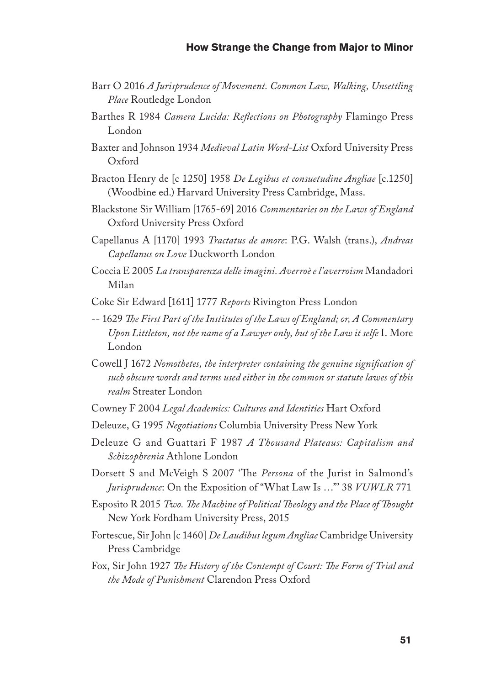- Barr O 2016 *A Jurisprudence of Movement. Common Law, Walking, Unsettling Place* Routledge London
- Barthes R 1984 *Camera Lucida: Reflections on Photography* Flamingo Press London
- Baxter and Johnson 1934 *Medieval Latin Word-List* Oxford University Press Oxford
- Bracton Henry de [c 1250] 1958 *De Legibus et consuetudine Angliae* [c.1250] (Woodbine ed.) Harvard University Press Cambridge, Mass.
- Blackstone Sir William [1765-69] 2016 *Commentaries on the Laws of England* Oxford University Press Oxford
- Capellanus A [1170] 1993 *Tractatus de amore*: P.G. Walsh (trans.), *Andreas Capellanus on Love* Duckworth London
- Coccia E 2005 *La transparenza delle imagini. Averroè e l'averroism* Mandadori Milan
- Coke Sir Edward [1611] 1777 *Reports* Rivington Press London
- -- 1629 *The First Part of the Institutes of the Laws of England; or, A Commentary Upon Littleton, not the name of a Lawyer only, but of the Law it selfe* I. More London
- Cowell J 1672 *Nomothetes, the interpreter containing the genuine signification of such obscure words and terms used either in the common or statute lawes of this realm* Streater London
- Cowney F 2004 *Legal Academics: Cultures and Identities* Hart Oxford
- Deleuze, G 1995 *Negotiations* Columbia University Press New York
- Deleuze G and Guattari F 1987 *A Thousand Plateaus: Capitalism and Schizophrenia* Athlone London
- Dorsett S and McVeigh S 2007 'The *Persona* of the Jurist in Salmond's *Jurisprudence*: On the Exposition of "What Law Is …"' 38 *VUWLR* 771
- Esposito R 2015 *Two. The Machine of Political Theology and the Place of Thought* New York Fordham University Press, 2015
- Fortescue, Sir John [c 1460] *De Laudibus legum Angliae* Cambridge University Press Cambridge
- Fox, Sir John 1927 *The History of the Contempt of Court: The Form of Trial and the Mode of Punishment* Clarendon Press Oxford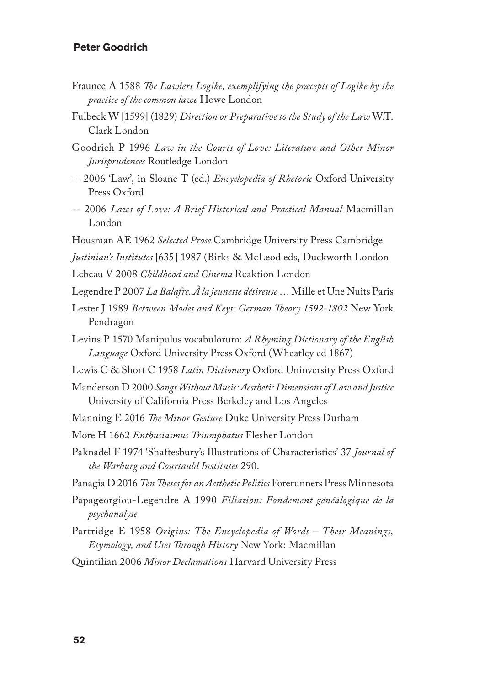- Fraunce A 1588 *The Lawiers Logike, exemplifying the præcepts of Logike by the practice of the common lawe* Howe London
- Fulbeck W [1599] (1829) *Direction or Preparative to the Study of the Law* W.T. Clark London
- Goodrich P 1996 *Law in the Courts of Love: Literature and Other Minor Jurisprudences* Routledge London
- -- 2006 'Law', in Sloane T (ed.) *Encyclopedia of Rhetoric* Oxford University Press Oxford
- *--* 2006 *Laws of Love: A Brief Historical and Practical Manual* Macmillan London
- Housman AE 1962 *Selected Prose* Cambridge University Press Cambridge
- *Justinian's Institutes* [635] 1987 (Birks & McLeod eds, Duckworth London
- Lebeau V 2008 *Childhood and Cinema* Reaktion London
- Legendre P 2007 *La Balafre. À la jeunesse désireuse* … Mille et Une Nuits Paris
- Lester J 1989 *Between Modes and Keys: German Theory 1592-1802* New York Pendragon
- Levins P 1570 Manipulus vocabulorum: *A Rhyming Dictionary of the English Language* Oxford University Press Oxford (Wheatley ed 1867)
- Lewis C & Short C 1958 *Latin Dictionary* Oxford Uninversity Press Oxford
- Manderson D 2000 *Songs Without Music: Aesthetic Dimensions of Law and Justice* University of California Press Berkeley and Los Angeles
- Manning E 2016 *The Minor Gesture* Duke University Press Durham
- More H 1662 *Enthusiasmus Triumphatus* Flesher London
- Paknadel F 1974 'Shaftesbury's Illustrations of Characteristics' 37 *Journal of the Warburg and Courtauld Institutes* 290.
- Panagia D 2016 *Ten Theses for an Aesthetic Politics* Forerunners Press Minnesota
- Papageorgiou-Legendre A 1990 *Filiation: Fondement généalogique de la psychanalyse*
- Partridge E 1958 *Origins: The Encyclopedia of Words Their Meanings, Etymology, and Uses Through History* New York: Macmillan
- Quintilian 2006 *Minor Declamations* Harvard University Press